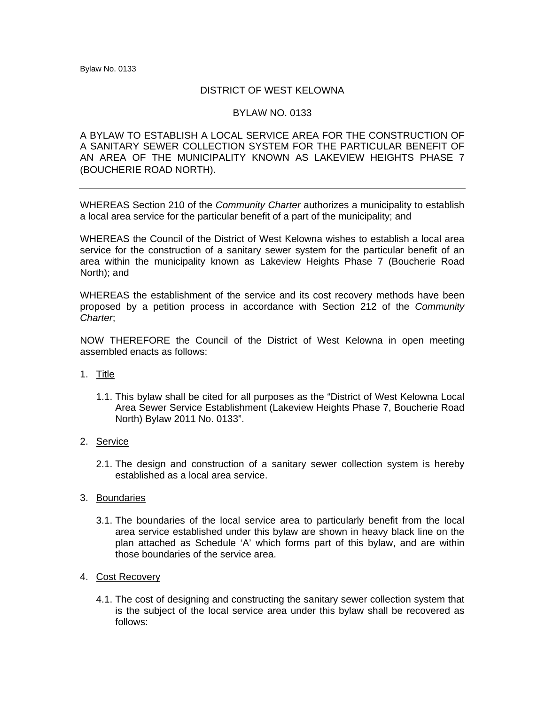## DISTRICT OF WEST KELOWNA

## BYLAW NO. 0133

## A BYLAW TO ESTABLISH A LOCAL SERVICE AREA FOR THE CONSTRUCTION OF A SANITARY SEWER COLLECTION SYSTEM FOR THE PARTICULAR BENEFIT OF AN AREA OF THE MUNICIPALITY KNOWN AS LAKEVIEW HEIGHTS PHASE 7 (BOUCHERIE ROAD NORTH).

WHEREAS Section 210 of the *Community Charter* authorizes a municipality to establish a local area service for the particular benefit of a part of the municipality; and

WHEREAS the Council of the District of West Kelowna wishes to establish a local area service for the construction of a sanitary sewer system for the particular benefit of an area within the municipality known as Lakeview Heights Phase 7 (Boucherie Road North); and

WHEREAS the establishment of the service and its cost recovery methods have been proposed by a petition process in accordance with Section 212 of the *Community Charter*;

NOW THEREFORE the Council of the District of West Kelowna in open meeting assembled enacts as follows:

- 1. Title
	- 1.1. This bylaw shall be cited for all purposes as the "District of West Kelowna Local Area Sewer Service Establishment (Lakeview Heights Phase 7, Boucherie Road North) Bylaw 2011 No. 0133".
- 2. Service
	- 2.1. The design and construction of a sanitary sewer collection system is hereby established as a local area service.
- 3. Boundaries
	- 3.1. The boundaries of the local service area to particularly benefit from the local area service established under this bylaw are shown in heavy black line on the plan attached as Schedule 'A' which forms part of this bylaw, and are within those boundaries of the service area.
- 4. Cost Recovery
	- 4.1. The cost of designing and constructing the sanitary sewer collection system that is the subject of the local service area under this bylaw shall be recovered as follows: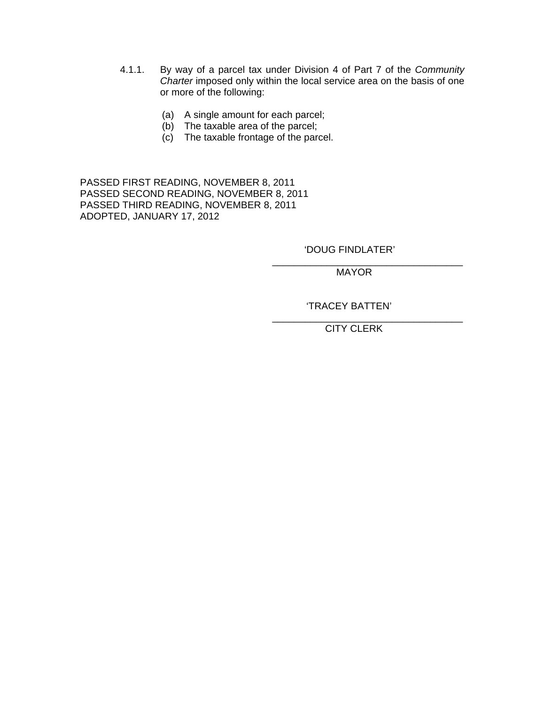- 4.1.1. By way of a parcel tax under Division 4 of Part 7 of the *Community Charter* imposed only within the local service area on the basis of one or more of the following:
	- (a) A single amount for each parcel;
	- (b) The taxable area of the parcel;
	- (c) The taxable frontage of the parcel.

 $\overline{\phantom{a}}$  , and the contract of the contract of the contract of the contract of the contract of the contract of the contract of the contract of the contract of the contract of the contract of the contract of the contrac

 $\overline{\phantom{a}}$  , which is a set of the contract of the contract of the contract of the contract of the contract of the contract of the contract of the contract of the contract of the contract of the contract of the contract

PASSED FIRST READING, NOVEMBER 8, 2011 PASSED SECOND READING, NOVEMBER 8, 2011 PASSED THIRD READING, NOVEMBER 8, 2011 ADOPTED, JANUARY 17, 2012

'DOUG FINDLATER'

MAYOR

## 'TRACEY BATTEN'

CITY CLERK